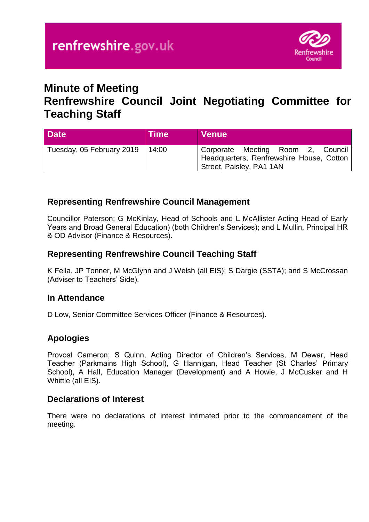

# **Minute of Meeting**

# **Renfrewshire Council Joint Negotiating Committee for Teaching Staff**

| <b>Date</b>                       | <b>Time</b> | <b>Venue</b>                                                                                              |
|-----------------------------------|-------------|-----------------------------------------------------------------------------------------------------------|
| Tuesday, 05 February 2019   14:00 |             | Corporate Meeting Room 2, Council<br>Headquarters, Renfrewshire House, Cotton<br>Street, Paisley, PA1 1AN |

## **Representing Renfrewshire Council Management**

Councillor Paterson; G McKinlay, Head of Schools and L McAllister Acting Head of Early Years and Broad General Education) (both Children's Services); and L Mullin, Principal HR & OD Advisor (Finance & Resources).

## **Representing Renfrewshire Council Teaching Staff**

K Fella, JP Tonner, M McGlynn and J Welsh (all EIS); S Dargie (SSTA); and S McCrossan (Adviser to Teachers' Side).

#### **In Attendance**

D Low, Senior Committee Services Officer (Finance & Resources).

# **Apologies**

Provost Cameron; S Quinn, Acting Director of Children's Services, M Dewar, Head Teacher (Parkmains High School), G Hannigan, Head Teacher (St Charles' Primary School), A Hall, Education Manager (Development) and A Howie, J McCusker and H Whittle (all EIS).

#### **Declarations of Interest**

There were no declarations of interest intimated prior to the commencement of the meeting.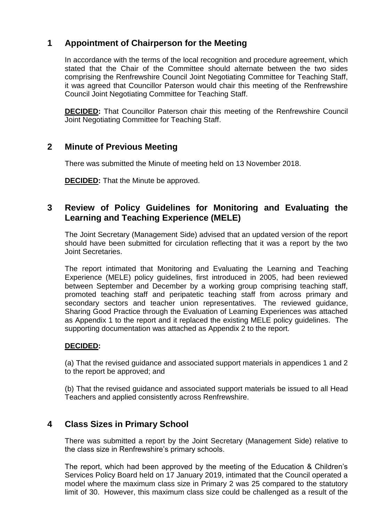# **1 Appointment of Chairperson for the Meeting**

In accordance with the terms of the local recognition and procedure agreement, which stated that the Chair of the Committee should alternate between the two sides comprising the Renfrewshire Council Joint Negotiating Committee for Teaching Staff, it was agreed that Councillor Paterson would chair this meeting of the Renfrewshire Council Joint Negotiating Committee for Teaching Staff.

**DECIDED:** That Councillor Paterson chair this meeting of the Renfrewshire Council Joint Negotiating Committee for Teaching Staff.

## **2 Minute of Previous Meeting**

There was submitted the Minute of meeting held on 13 November 2018.

**DECIDED:** That the Minute be approved.

## **3 Review of Policy Guidelines for Monitoring and Evaluating the Learning and Teaching Experience (MELE)**

The Joint Secretary (Management Side) advised that an updated version of the report should have been submitted for circulation reflecting that it was a report by the two Joint Secretaries.

The report intimated that Monitoring and Evaluating the Learning and Teaching Experience (MELE) policy guidelines, first introduced in 2005, had been reviewed between September and December by a working group comprising teaching staff, promoted teaching staff and peripatetic teaching staff from across primary and secondary sectors and teacher union representatives. The reviewed guidance, Sharing Good Practice through the Evaluation of Learning Experiences was attached as Appendix 1 to the report and it replaced the existing MELE policy guidelines. The supporting documentation was attached as Appendix 2 to the report.

#### **DECIDED:**

(a) That the revised guidance and associated support materials in appendices 1 and 2 to the report be approved; and

(b) That the revised guidance and associated support materials be issued to all Head Teachers and applied consistently across Renfrewshire.

# **4 Class Sizes in Primary School**

There was submitted a report by the Joint Secretary (Management Side) relative to the class size in Renfrewshire's primary schools.

The report, which had been approved by the meeting of the Education & Children's Services Policy Board held on 17 January 2019, intimated that the Council operated a model where the maximum class size in Primary 2 was 25 compared to the statutory limit of 30. However, this maximum class size could be challenged as a result of the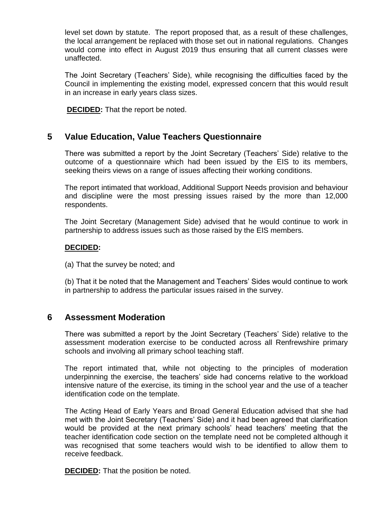level set down by statute. The report proposed that, as a result of these challenges, the local arrangement be replaced with those set out in national regulations. Changes would come into effect in August 2019 thus ensuring that all current classes were unaffected.

The Joint Secretary (Teachers' Side), while recognising the difficulties faced by the Council in implementing the existing model, expressed concern that this would result in an increase in early years class sizes.

**DECIDED:** That the report be noted.

#### **5 Value Education, Value Teachers Questionnaire**

There was submitted a report by the Joint Secretary (Teachers' Side) relative to the outcome of a questionnaire which had been issued by the EIS to its members, seeking theirs views on a range of issues affecting their working conditions.

The report intimated that workload, Additional Support Needs provision and behaviour and discipline were the most pressing issues raised by the more than 12,000 respondents.

The Joint Secretary (Management Side) advised that he would continue to work in partnership to address issues such as those raised by the EIS members.

#### **DECIDED:**

(a) That the survey be noted; and

(b) That it be noted that the Management and Teachers' Sides would continue to work in partnership to address the particular issues raised in the survey.

#### **6 Assessment Moderation**

There was submitted a report by the Joint Secretary (Teachers' Side) relative to the assessment moderation exercise to be conducted across all Renfrewshire primary schools and involving all primary school teaching staff.

The report intimated that, while not objecting to the principles of moderation underpinning the exercise, the teachers' side had concerns relative to the workload intensive nature of the exercise, its timing in the school year and the use of a teacher identification code on the template.

The Acting Head of Early Years and Broad General Education advised that she had met with the Joint Secretary (Teachers' Side) and it had been agreed that clarification would be provided at the next primary schools' head teachers' meeting that the teacher identification code section on the template need not be completed although it was recognised that some teachers would wish to be identified to allow them to receive feedback.

**DECIDED:** That the position be noted.